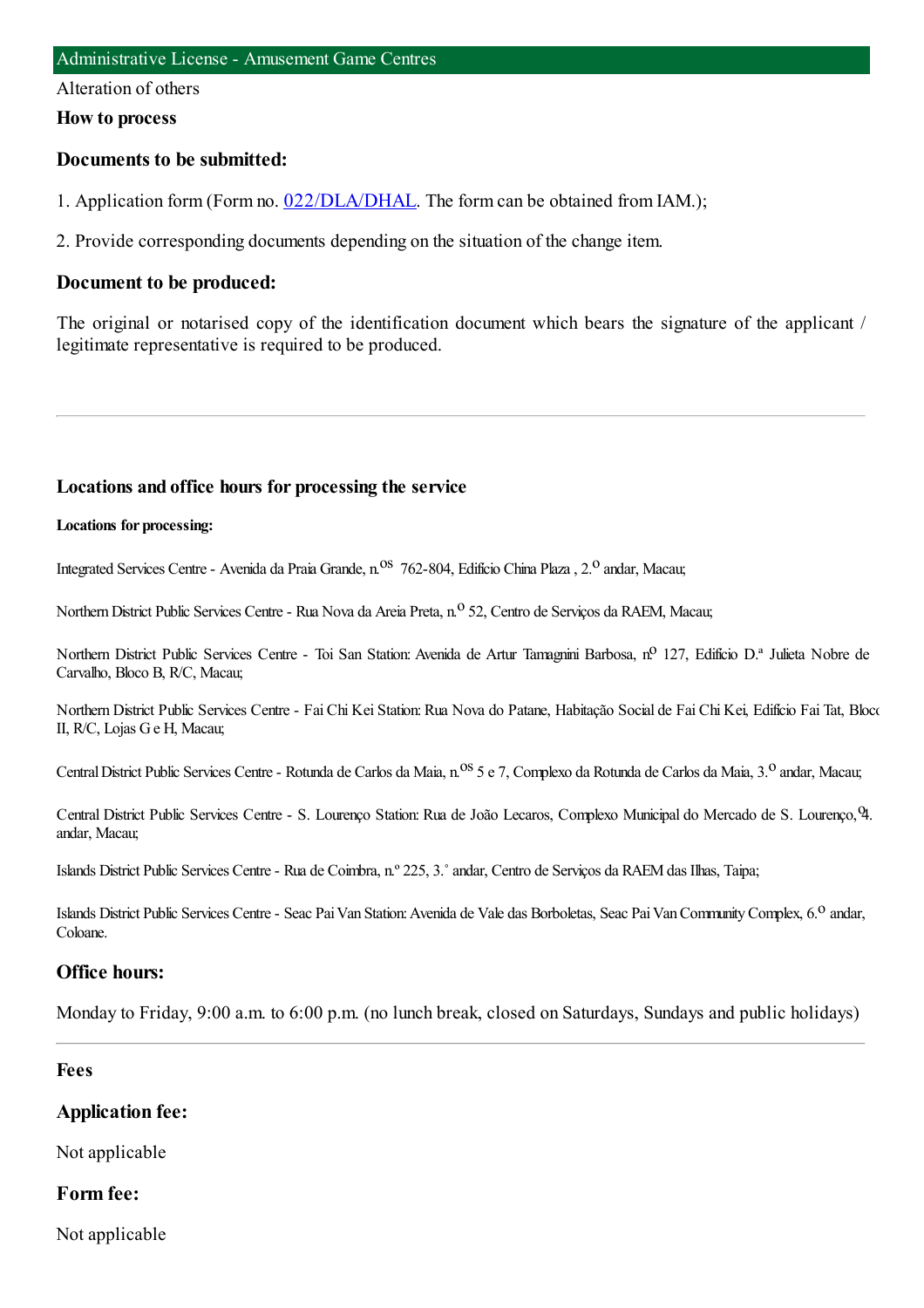#### Alteration of others

#### **How to process**

### **Documents to be submitted:**

1. Application form (Form no. [022/DLA/DHAL](https://www.iam.gov.mo/c/pdf/eformDetail/PDF1013). The form can be obtained from IAM.);

2. Provide corresponding documents depending on the situation of the change item.

### **Document to be produced:**

The original or notarised copy of the identification document which bears the signature of the applicant / legitimate representative is required to be produced.

#### **Locations and office hours for processing the service**

#### **Locations for processing:**

Integrated Services Centre - Avenida da Praia Grande, n.<sup>08</sup> 762-804, Edifício China Plaza, 2.<sup>0</sup> andar, Macau;

Northern District Public Services Centre - Rua Nova da Areia Preta, n.º 52, Centro de Serviços da RAEM, Macau;

Northern District Public Services Centre - Toi San Station: Avenida de Artur Tamagnini Barbosa, nº 127, Edifício D.ª Julieta Nobre de Carvalho, Bloco B, R/C, Macau;

Northern District Public Services Centre - Fai Chi Kei Station: Rua Nova do Patane, Habitação Social de Fai Chi Kei, Edifício Fai Tat, Bloco II, R/C, Lojas Ge H, Macau;

Central District Public Services Centre - Rotunda de Carlos da Maia, n.<sup>0S</sup> 5 e 7, Complexo da Rotunda de Carlos da Maia, 3.<sup>0</sup> andar, Macau;

Central District Public Services Centre - S. Lourenço Station: Rua de João Lecaros, Complexo Municipal do Mercado de S. Lourenço, 9. andar, Macau;

Islands District Public Services Centre- Rua de Coimbra, n.º 225, 3.˚andar, Centro de Serviços da RAEMdas Ilhas, Taipa;

Islands District Public Services Centre - Seac Pai Van Station: Avenida de Vale das Borboletas, Seac Pai Van Community Complex, 6.<sup>0</sup> andar, Coloane.

#### **Office hours:**

Monday to Friday, 9:00 a.m. to 6:00 p.m. (no lunch break, closed on Saturdays, Sundays and public holidays)

#### **Fees**

#### **Application fee:**

Not applicable

#### **Form fee:**

Not applicable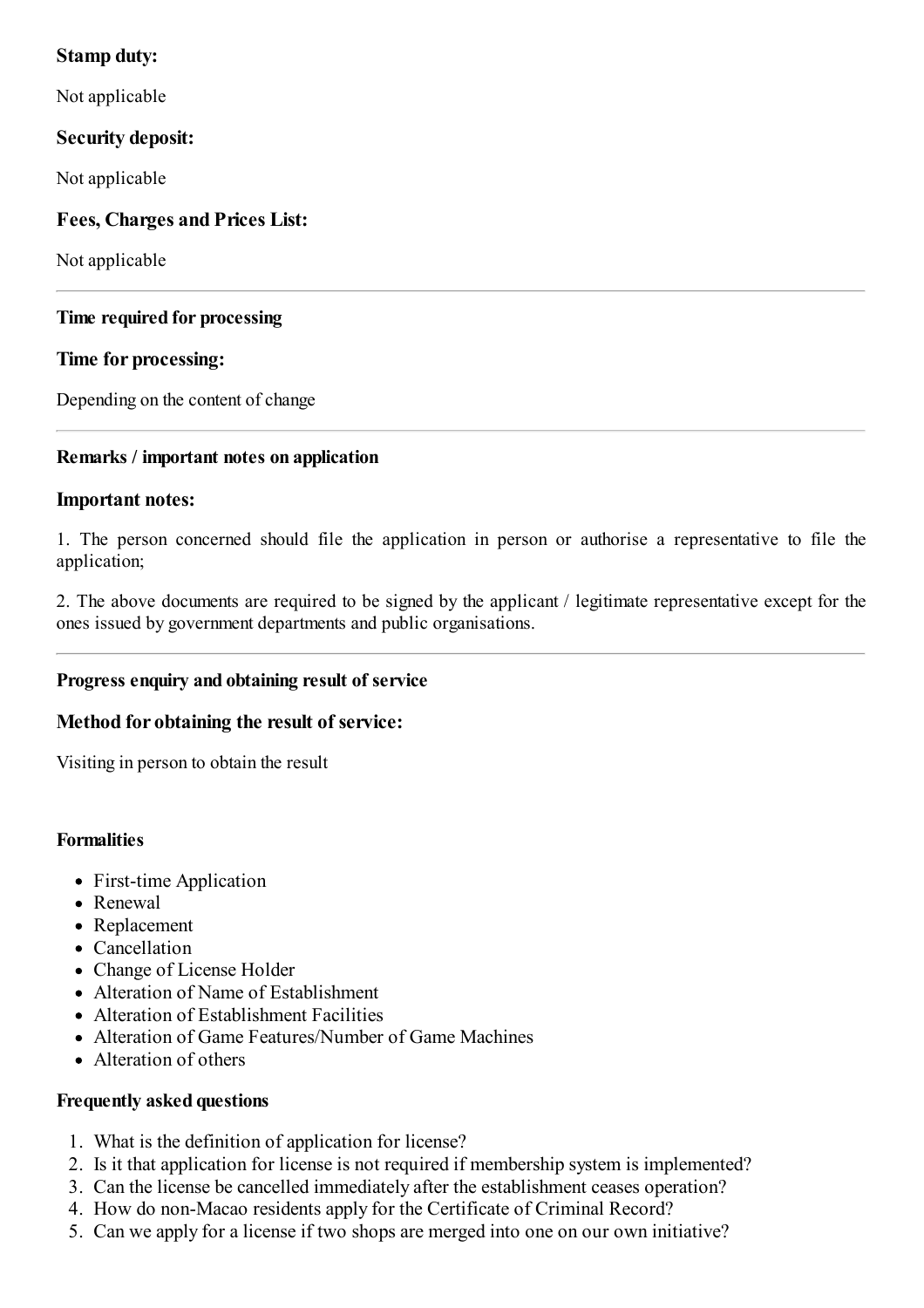## **Stamp duty:**

Not applicable

# **Security deposit:**

Not applicable

# **Fees, Charges and Prices List:**

Not applicable

### **Time required for processing**

## **Time for processing:**

Depending on the content of change

## **Remarks / important notes on application**

### **Important notes:**

1. The person concerned should file the application in person or authorise a representative to file the application;

2. The above documents are required to be signed by the applicant / legitimate representative except for the ones issued by government departments and public organisations.

## **Progress enquiry and obtaining result of service**

## **Method for obtaining the result of service:**

Visiting in person to obtain the result

### **Formalities**

- First-time Application
- Renewal
- Replacement
- Cancellation
- Change of License Holder
- Alteration of Name of Establishment
- Alteration of Establishment Facilities
- Alteration of Game Features/Number of Game Machines
- Alteration of others

### **Frequently asked questions**

- 1. What is the definition of application for license?
- 2. Is it that application for license is not required if membership system is implemented?
- 3. Can the license be cancelled immediately after the establishment ceases operation?
- 4. How do non-Macao residents apply for the Certificate of Criminal Record?
- 5. Can we apply for a license if two shops are merged into one on our own initiative?